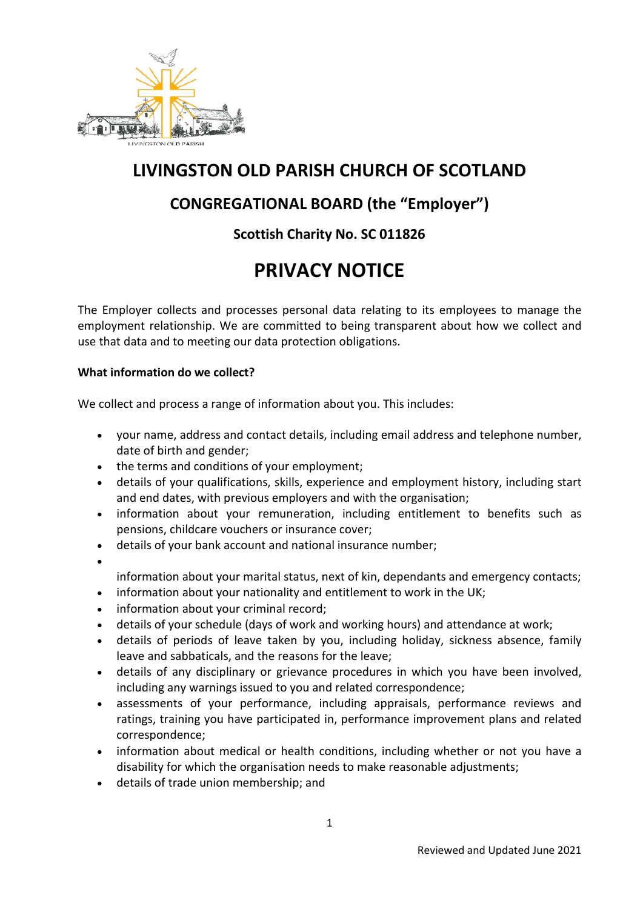

## **LIVINGSTON OLD PARISH CHURCH OF SCOTLAND**

## **CONGREGATIONAL BOARD (the "Employer")**

### **Scottish Charity No. SC 011826**

# **PRIVACY NOTICE**

The Employer collects and processes personal data relating to its employees to manage the employment relationship. We are committed to being transparent about how we collect and use that data and to meeting our data protection obligations.

#### **What information do we collect?**

We collect and process a range of information about you. This includes:

- your name, address and contact details, including email address and telephone number, date of birth and gender;
- the terms and conditions of your employment;
- details of your qualifications, skills, experience and employment history, including start and end dates, with previous employers and with the organisation;
- information about your remuneration, including entitlement to benefits such as pensions, childcare vouchers or insurance cover;
- details of your bank account and national insurance number;
- •
- information about your marital status, next of kin, dependants and emergency contacts;
- information about your nationality and entitlement to work in the UK;
- information about your criminal record;
- details of your schedule (days of work and working hours) and attendance at work;
- details of periods of leave taken by you, including holiday, sickness absence, family leave and sabbaticals, and the reasons for the leave;
- details of any disciplinary or grievance procedures in which you have been involved, including any warnings issued to you and related correspondence;
- assessments of your performance, including appraisals, performance reviews and ratings, training you have participated in, performance improvement plans and related correspondence;
- information about medical or health conditions, including whether or not you have a disability for which the organisation needs to make reasonable adjustments;
- details of trade union membership; and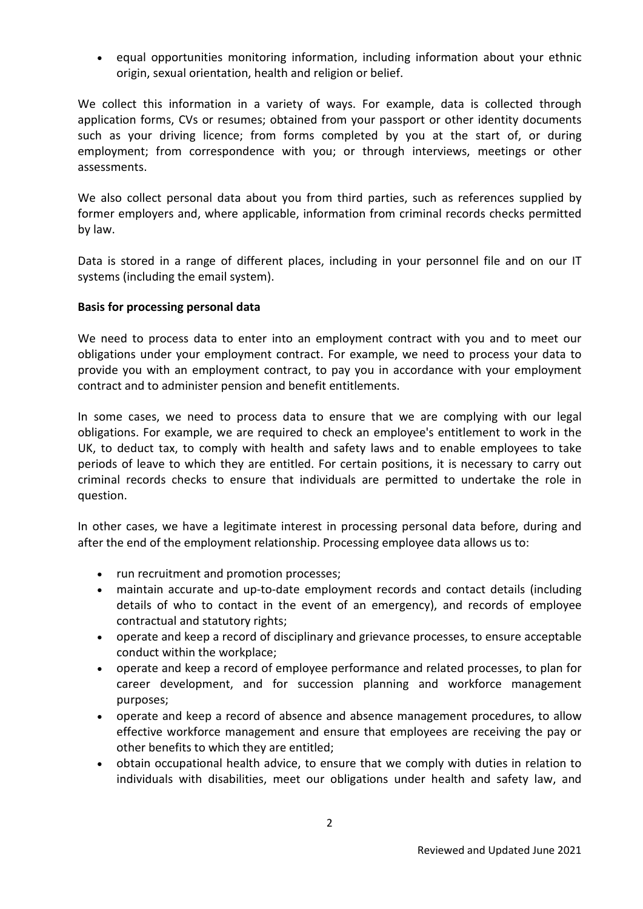• equal opportunities monitoring information, including information about your ethnic origin, sexual orientation, health and religion or belief.

We collect this information in a variety of ways. For example, data is collected through application forms, CVs or resumes; obtained from your passport or other identity documents such as your driving licence; from forms completed by you at the start of, or during employment; from correspondence with you; or through interviews, meetings or other assessments.

We also collect personal data about you from third parties, such as references supplied by former employers and, where applicable, information from criminal records checks permitted by law.

Data is stored in a range of different places, including in your personnel file and on our IT systems (including the email system).

#### **Basis for processing personal data**

We need to process data to enter into an employment contract with you and to meet our obligations under your employment contract. For example, we need to process your data to provide you with an employment contract, to pay you in accordance with your employment contract and to administer pension and benefit entitlements.

In some cases, we need to process data to ensure that we are complying with our legal obligations. For example, we are required to check an employee's entitlement to work in the UK, to deduct tax, to comply with health and safety laws and to enable employees to take periods of leave to which they are entitled. For certain positions, it is necessary to carry out criminal records checks to ensure that individuals are permitted to undertake the role in question.

In other cases, we have a legitimate interest in processing personal data before, during and after the end of the employment relationship. Processing employee data allows us to:

- run recruitment and promotion processes;
- maintain accurate and up-to-date employment records and contact details (including details of who to contact in the event of an emergency), and records of employee contractual and statutory rights;
- operate and keep a record of disciplinary and grievance processes, to ensure acceptable conduct within the workplace;
- operate and keep a record of employee performance and related processes, to plan for career development, and for succession planning and workforce management purposes;
- operate and keep a record of absence and absence management procedures, to allow effective workforce management and ensure that employees are receiving the pay or other benefits to which they are entitled;
- obtain occupational health advice, to ensure that we comply with duties in relation to individuals with disabilities, meet our obligations under health and safety law, and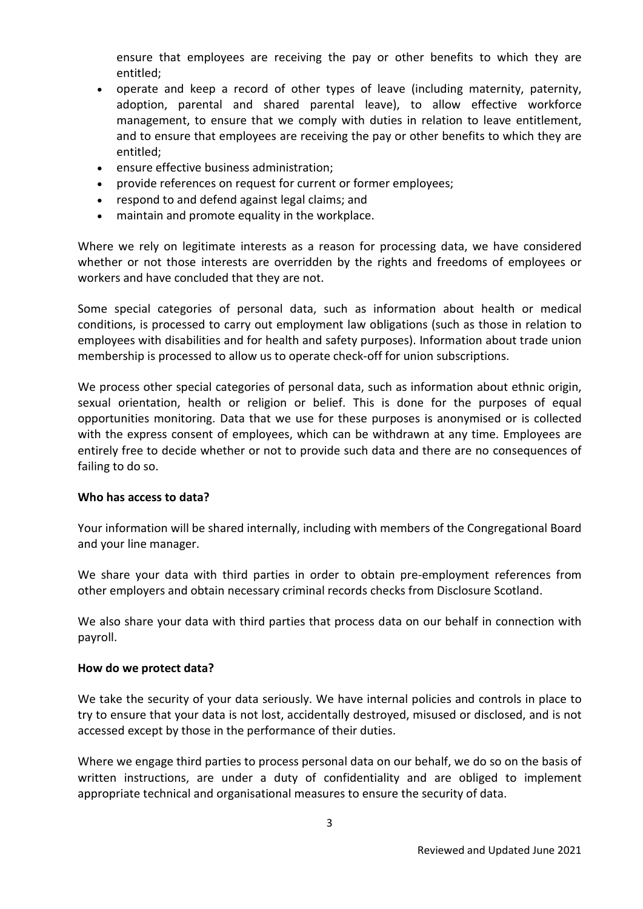ensure that employees are receiving the pay or other benefits to which they are entitled;

- operate and keep a record of other types of leave (including maternity, paternity, adoption, parental and shared parental leave), to allow effective workforce management, to ensure that we comply with duties in relation to leave entitlement, and to ensure that employees are receiving the pay or other benefits to which they are entitled;
- ensure effective business administration;
- provide references on request for current or former employees;
- respond to and defend against legal claims; and
- maintain and promote equality in the workplace.

Where we rely on legitimate interests as a reason for processing data, we have considered whether or not those interests are overridden by the rights and freedoms of employees or workers and have concluded that they are not.

Some special categories of personal data, such as information about health or medical conditions, is processed to carry out employment law obligations (such as those in relation to employees with disabilities and for health and safety purposes). Information about trade union membership is processed to allow us to operate check-off for union subscriptions.

We process other special categories of personal data, such as information about ethnic origin, sexual orientation, health or religion or belief. This is done for the purposes of equal opportunities monitoring. Data that we use for these purposes is anonymised or is collected with the express consent of employees, which can be withdrawn at any time. Employees are entirely free to decide whether or not to provide such data and there are no consequences of failing to do so.

#### **Who has access to data?**

Your information will be shared internally, including with members of the Congregational Board and your line manager.

We share your data with third parties in order to obtain pre-employment references from other employers and obtain necessary criminal records checks from Disclosure Scotland.

We also share your data with third parties that process data on our behalf in connection with payroll.

#### **How do we protect data?**

We take the security of your data seriously. We have internal policies and controls in place to try to ensure that your data is not lost, accidentally destroyed, misused or disclosed, and is not accessed except by those in the performance of their duties.

Where we engage third parties to process personal data on our behalf, we do so on the basis of written instructions, are under a duty of confidentiality and are obliged to implement appropriate technical and organisational measures to ensure the security of data.